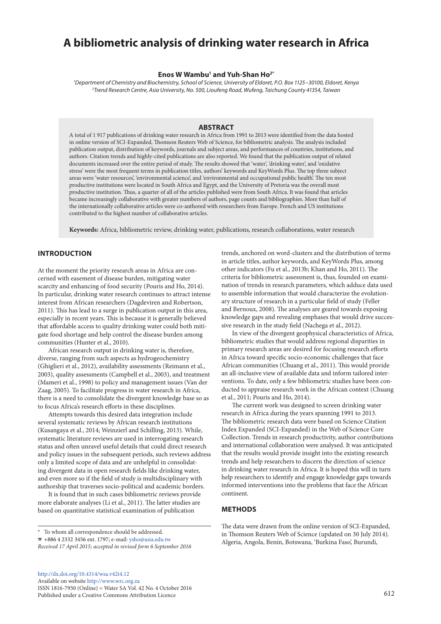# **A bibliometric analysis of drinking water research in Africa**

#### **Enos W Wambu1 and Yuh-Shan Ho2\***

*1 Department of Chemistry and Biochemistry, School of Science, University of Eldoret, P.O. Box 1125−30100, Eldoret, Kenya 2 Trend Research Centre, Asia University, No. 500, Lioufeng Road, Wufeng, Taichung County 41354, Taiwan*

# **ABSTRACT**

A total of 1 917 publications of drinking water research in Africa from 1991 to 2013 were identified from the data hosted in online version of SCI-Expanded, Thomson Reuters Web of Science, for bibliometric analysis. The analysis included publication output, distribution of keywords, journals and subject areas, and performances of countries, institutions, and authors. Citation trends and highly-cited publications are also reported. We found that the publication output of related documents increased over the entire period of study. The results showed that 'water', 'drinking water', and 'oxidative stress' were the most frequent terms in publication titles, authors' keywords and KeyWords Plus. The top three subject areas were 'water resources', 'environmental science', and 'environmental and occupational public health'. The ten most productive institutions were located in South Africa and Egypt, and the University of Pretoria was the overall most productive institution. Thus, a quarter of all of the articles published were from South Africa. It was found that articles became increasingly collaborative with greater numbers of authors, page counts and bibliographies. More than half of the internationally collaborative articles were co-authored with researchers from Europe. French and US institutions contributed to the highest number of collaborative articles.

**Keywords:** Africa, bibliometric review, drinking water, publications, research collaborations, water research

#### **INTRODUCTION**

At the moment the priority research areas in Africa are concerned with easement of disease burden, mitigating water scarcity and enhancing of food security (Pouris and Ho, 2014). In particular, drinking water research continues to attract intense interest from African researchers (Dagdeviren and Robertson, 2011). This has lead to a surge in publication output in this area, especially in recent years. This is because it is generally believed that affordable access to quality drinking water could both mitigate food shortage and help control the disease burden among communities (Hunter et al., 2010).

African research output in drinking water is, therefore, diverse, ranging from such aspects as hydrogeochemistry (Ghiglieri et al., 2012), availability assessments (Reimann et al., 2003), quality assessments (Campbell et al., 2003), and treatment (Mameri et al., 1998) to policy and management issues (Van der Zaag, 2005). To facilitate progress in water research in Africa, there is a need to consolidate the divergent knowledge base so as to focus Africa's research efforts in these disciplines.

Attempts towards this desired data integration include several systematic reviews by African research institutions (Kusangaya et al., 2014; Weinzierl and Schilling, 2013). While, systematic literature reviews are used in interrogating research status and often unravel useful details that could direct research and policy issues in the subsequent periods, such reviews address only a limited scope of data and are unhelpful in consolidating divergent data in open research fields like drinking water, and even more so if the field of study is multidisciplinary with authorship that traverses socio-political and academic borders.

It is found that in such cases bibliometric reviews provide more elaborate analyses (Li et al., 2011). The latter studies are based on quantitative statistical examination of publication

trends, anchored on word-clusters and the distribution of terms in article titles, author keywords, and KeyWords Plus, among other indicators (Fu et al., 2013b; Khan and Ho, 2011). The criteria for bibliometric assessment is, thus, founded on examination of trends in research parameters, which adduce data used to assemble information that would characterize the evolutionary structure of research in a particular field of study (Feller and Bernoux, 2008). The analyses are geared towards exposing knowledge gaps and revealing emphases that would drive successive research in the study field (Nachega et al., 2012).

In view of the divergent geophysical characteristics of Africa, bibliometric studies that would address regional disparities in primary research areas are desired for focusing research efforts in Africa toward specific socio-economic challenges that face African communities (Chuang et al., 2011). This would provide an all-inclusive view of available data and inform tailored interventions. To date, only a few bibliometric studies have been conducted to appraise research work in the African context (Chuang et al., 2011; Pouris and Ho, 2014).

The current work was designed to screen drinking water research in Africa during the years spanning 1991 to 2013. The bibliometric research data were based on Science Citation Index Expanded (SCI-Expanded) in the Web of Science Core Collection. Trends in research productivity, author contributions and international collaboration were analysed. It was anticipated that the results would provide insight into the existing research trends and help researchers to discern the direction of science in drinking water research in Africa. It is hoped this will in turn help researchers to identify and engage knowledge gaps towards informed interventions into the problems that face the African continent.

#### **METHODS**

The data were drawn from the online version of SCI-Expanded, in Thomson Reuters Web of Science (updated on 30 July 2014). Algeria, Angola, Benin, Botswana, 'Burkina Faso', Burundi,

<sup>\*</sup> To whom all correspondence should be addressed.

<sup>☎</sup> +886 4 2332 3456 ext. 1797; e-mail: [ysho@asia.edu.tw](mailto:ysho@asia.edu.tw)

*Received 17 April 2015; accepted in revised form 6 September 2016*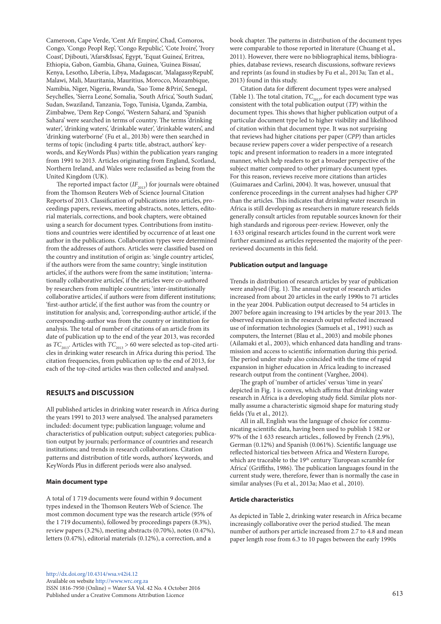Cameroon, Cape Verde, 'Cent Afr Empire', Chad, Comoros, Congo, 'Congo Peopl Rep', 'Congo Republic', 'Cote Ivoire', 'Ivory Coast', Djibouti, 'Afars&Issas', Egypt, 'Equat Guinea', Eritrea, Ethiopia, Gabon, Gambia, Ghana, Guinea, 'Guinea Bissau', Kenya, Lesotho, Liberia, Libya, Madagascar, 'MalagassyRepubl', Malawi, Mali, Mauritania, Mauritius, Morocco, Mozambique, Namibia, Niger, Nigeria, Rwanda, 'Sao Tome &Prin', Senegal, Seychelles, 'Sierra Leone', Somalia, 'South Africa', 'South Sudan', Sudan, Swaziland, Tanzania, Togo, Tunisia, Uganda, Zambia, Zimbabwe, 'Dem Rep Congo', 'Western Sahara', and 'Spanish Sahara' were searched in terms of country. The terms 'drinking water', 'drinking waters', 'drinkable water', 'drinkable waters', and 'drinking waterborne' (Fu et al., 2013b) were then searched in terms of topic (including 4 parts: title, abstract, authors' keywords, and KeyWords Plus) within the publication years ranging from 1991 to 2013. Articles originating from England, Scotland, Northern Ireland, and Wales were reclassified as being from the United Kingdom (UK).

The reported impact factor  $(IF_{2013})$  for journals were obtained from the Thomson Reuters Web of Science Journal Citation Reports of 2013. Classification of publications into articles, proceedings papers, reviews, meeting abstracts, notes, letters, editorial materials, corrections, and book chapters, were obtained using a search for document types. Contributions from institutions and countries were identified by occurrence of at least one author in the publications. Collaboration types were determined from the addresses of authors. Articles were classified based on the country and institution of origin as: 'single country articles', if the authors were from the same country; 'single institution articles', if the authors were from the same institution; 'internationally collaborative articles', if the articles were co-authored by researchers from multiple countries; 'inter-institutionally collaborative articles', if authors were from different institutions; 'first-author article', if the first author was from the country or institution for analysis; and, 'corresponding-author article', if the corresponding-author was from the country or institution for analysis. The total of number of citations of an article from its date of publication up to the end of the year 2013, was recorded as  $TC_{2013}$ . Articles with  $TC_{2013} > 60$  were selected as top-cited articles in drinking water research in Africa during this period. The citation frequencies, from publication up to the end of 2013, for each of the top-cited articles was then collected and analysed.

# **RESULTS and DISCUSSION**

All published articles in drinking water research in Africa during the years 1991 to 2013 were analysed. The analysed parameters included: document type; publication language; volume and characteristics of publication output; subject categories; publication output by journals; performance of countries and research institutions; and trends in research collaborations. Citation patterns and distribution of title words, authors' keywords, and KeyWords Plus in different periods were also analysed.

#### **Main document type**

A total of 1 719 documents were found within 9 document types indexed in the Thomson Reuters Web of Science. The most common document type was the research article (95% of the 1 719 documents), followed by proceedings papers (8.3%), review papers (3.2%), meeting abstracts (0.70%), notes (0.47%), letters (0.47%), editorial materials (0.12%), a correction, and a

http://dx.doi.org/10.4314/wsa.v42i4.12 Available on website http://www.wrc.org.za ISSN 1816-7950 (Online) = Water SA Vol. 42 No. 4 October 2016 Published under a Creative Commons Attribution Licence 613

book chapter. The patterns in distribution of the document types were comparable to those reported in literature (Chuang et al., 2011). However, there were no bibliographical items, bibliographies, database reviews, research discussions, software reviews and reprints (as found in studies by Fu et al., 2013a; Tan et al., 2013) found in this study.

Citation data for different document types were analysed (Table 1). The total citation,  $TC_{2013}$ , for each document type was consistent with the total publication output (*TP*) within the document types. This shows that higher publication output of a particular document type led to higher visibility and likelihood of citation within that document type. It was not surprising that reviews had higher citations per paper (*CPP*) than articles because review papers cover a wider perspective of a research topic and present information to readers in a more integrated manner, which help readers to get a broader perspective of the subject matter compared to other primary document types. For this reason, reviews receive more citations than articles (Guimaraes and Carlini, 2004). It was, however, unusual that conference proceedings in the current analyses had higher *CPP*  than the articles. This indicates that drinking water research in Africa is still developing as researchers in mature research fields generally consult articles from reputable sources known for their high standards and rigorous peer-review. However, only the 1 633 original research articles found in the current work were further examined as articles represented the majority of the peerreviewed documents in this field.

#### **Publication output and language**

Trends in distribution of research articles by year of publication were analysed (Fig. 1). The annual output of research articles increased from about 20 articles in the early 1990s to 71 articles in the year 2004. Publication output decreased to 54 articles in 2007 before again increasing to 194 articles by the year 2013. The observed expansion in the research output reflected increased use of information technologies (Samuels et al., 1991) such as computers, the Internet (Blau et al., 2003) and mobile phones (Ailamaki et al., 2003), which enhanced data handling and transmission and access to scientific information during this period. The period under study also coincided with the time of rapid expansion in higher education in Africa leading to increased research output from the continent (Varghee, 2004).

The graph of 'number of articles' versus 'time in years' depicted in Fig. 1 is convex, which affirms that drinking water research in Africa is a developing study field. Similar plots normally assume a characteristic sigmoid shape for maturing study fields (Yu et al., 2012).

All in all, English was the language of choice for communicating scientific data, having been used to publish 1 582 or 97% of the 1 633 research articles., followed by French (2.9%), German (0.12%) and Spanish (0.061%). Scientific language use reflected historical ties between Africa and Western Europe, which are traceable to the 19<sup>th</sup> century 'European scramble for Africa' (Griffiths, 1986). The publication languages found in the current study were, therefore, fewer than is normally the case in similar analyses (Fu et al., 2013a; Mao et al., 2010).

#### **Article characteristics**

As depicted in Table 2, drinking water research in Africa became increasingly collaborative over the period studied. The mean number of authors per article increased from 2.7 to 4.8 and mean paper length rose from 6.3 to 10 pages between the early 1990s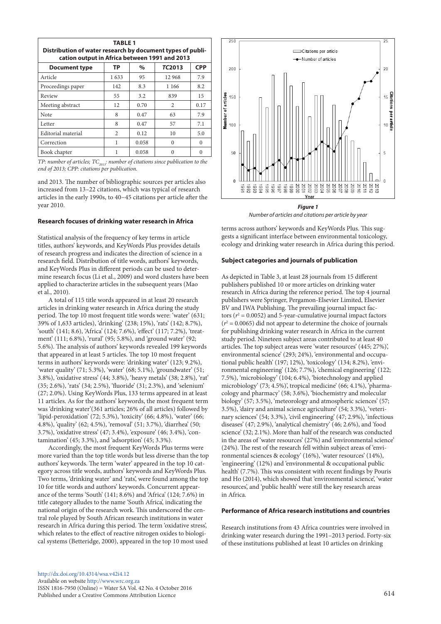| <b>TABLE 1</b><br>Distribution of water research by document types of publi-<br>cation output in Africa between 1991 and 2013 |      |       |          |          |  |  |  |
|-------------------------------------------------------------------------------------------------------------------------------|------|-------|----------|----------|--|--|--|
| <b>CPP</b><br><b>TC2013</b><br>ТP<br>$\%$<br><b>Document type</b>                                                             |      |       |          |          |  |  |  |
| Article                                                                                                                       | 1633 | 95    | 12 968   | 7.9      |  |  |  |
| Proceedings paper                                                                                                             | 142  | 8.3   | 1 1 6 6  | 8.2      |  |  |  |
| Review                                                                                                                        | 55   | 3.2   | 839      | 15       |  |  |  |
| Meeting abstract                                                                                                              | 12   | 0.70  | 2        | 0.17     |  |  |  |
| Note                                                                                                                          | 8    | 0.47  | 63       | 7.9      |  |  |  |
| Letter                                                                                                                        | 8    | 0.47  | 57       | 7.1      |  |  |  |
| Editorial material                                                                                                            | 2    | 0.12  | 10       | 5.0      |  |  |  |
| Correction                                                                                                                    |      | 0.058 | $\Omega$ | $\Omega$ |  |  |  |
| Book chapter                                                                                                                  |      | 0.058 | $\Omega$ | $\theta$ |  |  |  |

*TP: number of articles; TC<sub>2013</sub>: number of citations since publication to the end of 2013; CPP: citations per publication.*

and 2013. The number of bibliographic sources per articles also increased from 13–22 citations, which was typical of research articles in the early 1990s, to 40−45 citations per article after the year 2010.

#### **Research focuses of drinking water research in Africa**

Statistical analysis of the frequency of key terms in article titles, authors' keywords, and KeyWords Plus provides details of research progress and indicates the direction of science in a research field. Distribution of title words, authors' keywords, and KeyWords Plus in different periods can be used to determine research focus (Li et al., 2009) and word clusters have been applied to characterize articles in the subsequent years (Mao et al., 2010).

A total of 115 title words appeared in at least 20 research articles in drinking water research in Africa during the study period. The top 10 most frequent title words were: 'water' (631; 39% of 1,633 articles), 'drinking' (238; 15%), 'rats' (142; 8.7%), 'south' (141; 8.6), 'Africa' (124; 7.6%), 'effect' (117; 7.2%), 'treatment' (111; 6.8%), 'rural' (95; 5.8%), and 'ground water' (92; 5.6%). The analysis of authors' keywords revealed 199 keywords that appeared in at least 5 articles. The top 10 most frequent terms in authors' keywords were: 'drinking water' (123; 9.2%), 'water quality' (71; 5.3%), 'water' (68; 5.1%), 'groundwater' (51; 3.8%), 'oxidative stress' (44; 3.8%), 'heavy metals' (38; 2.8%), 'rat' (35; 2.6%), 'rats' (34; 2.5%), 'fluoride' (31; 2.3%), and 'selenium' (27; 2.0%). Using KeyWords Plus, 133 terms appeared in at least 11 articles. As for the authors' keywords, the most frequent term was 'drinking water'(361 articles; 26% of all articles) followed by 'lipid-peroxidation' (72; 5.3%), 'toxicity' (66; 4.8%), 'water' (66; 4.8%), 'quality' (62; 4.5%), 'removal' (51; 3.7%), 'diarrhea' (50; 3.7%), 'oxidative stress' (47; 3.4%), 'exposure' (46; 3.4%), 'contamination' (45; 3.3%), and 'adsorption' (45; 3.3%).

Accordingly, the most frequent KeyWords Plus terms were more varied than the top title words but less diverse than the top authors' keywords. The term 'water' appeared in the top 10 category across title words, authors' keywords and KeyWords Plus. Two terms, 'drinking water' and 'rats', were found among the top 10 for title words and authors' keywords. Concurrent appearance of the terms 'South' (141; 8.6%) and 'Africa' (124; 7.6%) in title category alludes to the name 'South Africa', indicating the national origin of the research work. This underscored the central role played by South African research institutions in water research in Africa during this period. The term 'oxidative stress', which relates to the effect of reactive nitrogen oxides to biological systems (Betteridge, 2000), appeared in the top 10 most used



*Number of articles and citations per article by year*

terms across authors' keywords and KeyWords Plus. This suggests a significant interface between environmental toxicology, ecology and drinking water research in Africa during this period.

#### **Subject categories and journals of publication**

As depicted in Table 3, at least 28 journals from 15 different publishers published 10 or more articles on drinking water research in Africa during the reference period. The top 4 journal publishers were Springer, Pergamon-Elsevier Limited, Elsevier BV and IWA Publishing. The prevailing journal impact factors ( $r^2$  = 0.0052) and 5-year-cumulative journal impact factors  $(r^2 = 0.0065)$  did not appear to determine the choice of journals for publishing drinking water research in Africa in the current study period. Nineteen subject areas contributed to at least 40 articles. The top subject areas were 'water resources' (445; 27%)', environmental science' (293; 24%), 'environmental and occupational public health' (197; 12%), 'toxicology' (134; 8.2%), 'environmental engineering' (126; 7.7%), 'chemical engineering' (122; 7.5%), 'microbiology' (104; 6.4%), 'biotechnology and applied microbiology' (73; 4.5%)', tropical medicine' (66; 4.1%), 'pharmacology and pharmacy' (58; 3.6%), 'biochemistry and molecular biology' (57; 3.5%), 'meteorology and atmospheric sciences' (57; 3.5%), 'dairy and animal science agriculture' (54; 3.3%), 'veterinary sciences' (54; 3.3%), 'civil engineering' (47; 2.9%), 'infectious diseases' (47; 2.9%), 'analytical chemistry' (46; 2.6%), and 'food science' (32; 2.1%). More than half of the research was conducted in the areas of 'water resources' (27%) and 'environmental science' (24%). The rest of the research fell within subject areas of 'environmental sciences & ecology' (16%), 'water resources' (14%), 'engineering' (12%) and 'environmental & occupational public health' (7.7%). This was consistent with recent findings by Pouris and Ho (2014), which showed that 'environmental science', 'water resources', and 'public health' were still the key research areas in Africa.

#### **Performance of Africa research institutions and countries**

Research institutions from 43 Africa countries were involved in drinking water research during the 1991–2013 period. Forty-six of these institutions published at least 10 articles on drinking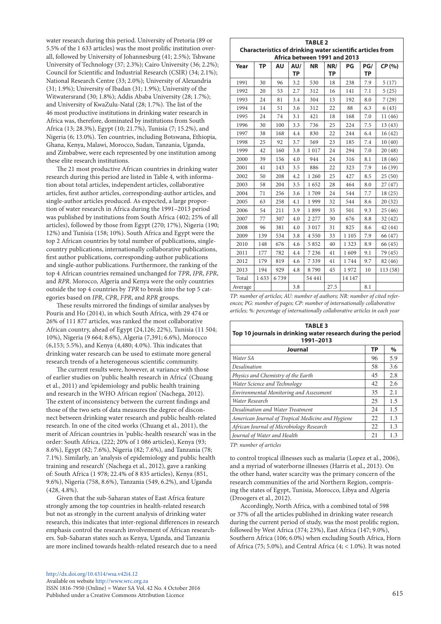water research during this period. University of Pretoria (89 or 5.5% of the 1 633 articles) was the most prolific institution overall, followed by University of Johannesburg (41; 2.5%); Tshwane University of Technology (37; 2.3%); Cairo University (36; 2.2%); Council for Scientific and Industrial Research (CSIR) (34; 2.1%); National Research Centre (33; 2.0%); University of Alexandria (31; 1.9%); University of Ibadan (31; 1.9%); University of the Witwatersrand (30; 1.8%); Addis Ababa University (28; 1.7%); and University of KwaZulu-Natal (28; 1.7%). The list of the 46 most productive institutions in drinking water research in Africa was, therefore, dominated by institutions from South Africa (13; 28.3%), Egypt (10; 21.7%), Tunisia (7; 15.2%), and Nigeria (6; 13.0%). Ten countries, including Botswana, Ethiopia, Ghana, Kenya, Malawi, Morocco, Sudan, Tanzania, Uganda, and Zimbabwe, were each represented by one institution among these elite research institutions.

The 21 most productive African countries in drinking water research during this period are listed in Table 4, with information about total articles, independent articles, collaborative articles, first author articles, corresponding-author articles, and single-author articles produced. As expected, a large proportion of water research in Africa during the 1991–2013 period was published by institutions from South Africa (402; 25% of all articles), followed by those from Egypt (270; 17%), Nigeria (190; 12%) and Tunisia (158; 10%). South Africa and Egypt were the top 2 African countries by total number of publications, singlecountry publications, internationally collaborative publications, first author publications, corresponding-author publications and single-author publications. Furthermore, the ranking of the top 4 African countries remained unchanged for *TPR*, *IPR*, *FPR*, and *RPR*. Morocco, Algeria and Kenya were the only countries outside the top 4 countries by *TPR* to break into the top 5 categories based on *IPR*, *CPR*, *FPR*, and *RPR* groups.

These results mirrored the findings of similar analyses by Pouris and Ho (2014), in which South Africa, with 29 474 or 26% of 111 877 articles, was ranked the most collaborative African country, ahead of Egypt (24,126; 22%), Tunisia (11 504; 10%), Nigeria (9 664; 8.6%), Algeria (7,391; 6.6%), Morocco (6,153; 5.5%), and Kenya (4,480; 4.0%). This indicates that drinking water research can be used to estimate more general research trends of a heterogeneous scientific community.

The current results were, however, at variance with those of earlier studies on 'public health research in Africa' (Chuang et al., 2011) and 'epidemiology and public health training and research in the WHO African region' (Nachega, 2012). The extent of inconsistency between the current findings and those of the two sets of data measures the degree of disconnect between drinking water research and public health-related research. In one of the cited works (Chuang et al., 2011), the merit of African countries in 'public-health research' was in the order: South Africa, (222; 20% of 1 086 articles), Kenya (93; 8.6%), Egypt (82; 7.6%), Nigeria (82; 7.6%), and Tanzania (78; 7.1%). Similarly, an 'analysis of epidemiology and public health training and research' (Nachega et al., 2012), gave a ranking of: South Africa (1 978; 22.4% of 8 835 articles), Kenya (851, 9.6%), Nigeria (758, 8.6%), Tanzania (549, 6.2%), and Uganda (428, 4.8%).

Given that the sub-Saharan states of East Africa feature strongly among the top countries in health-related research but not as strongly in the current analysis of drinking water research, this indicates that inter-regional differences in research emphasis control the research involvement of African researchers. Sub-Saharan states such as Kenya, Uganda, and Tanzania are more inclined towards health-related research due to a need

| http://dx.doi.org/10.4314/wsa.v42i4.12                        |     |
|---------------------------------------------------------------|-----|
| Available on website http://www.wrc.org.za                    |     |
| ISSN 1816-7950 (Online) = Water SA Vol. 42 No. 4 October 2016 |     |
| Published under a Creative Commons Attribution Licence        | 615 |

| <b>TABLE 2</b>                                                                                    |           |           |           |           |           |         |           |          |
|---------------------------------------------------------------------------------------------------|-----------|-----------|-----------|-----------|-----------|---------|-----------|----------|
| <b>Characteristics of drinking water scientific articles from</b><br>Africa between 1991 and 2013 |           |           |           |           |           |         |           |          |
| Year                                                                                              | <b>TP</b> | <b>AU</b> | AU/       | <b>NR</b> | NR/       | PG      | PG/       | CP(%)    |
|                                                                                                   |           |           | <b>TP</b> |           | <b>TP</b> |         | <b>TP</b> |          |
| 1991                                                                                              | 30        | 96        | 3.2       | 530       | 18        | 238     | 7.9       | 5(17)    |
| 1992                                                                                              | 20        | 53        | 2.7       | 312       | 16        | 141     | 7.1       | 5(25)    |
| 1993                                                                                              | 24        | 81        | 3.4       | 304       | 13        | 192     | 8.0       | 7(29)    |
| 1994                                                                                              | 14        | 51        | 3.6       | 312       | 22        | 88      | 6.3       | 6(43)    |
| 1995                                                                                              | 24        | 74        | 3.1       | 421       | 18        | 168     | 7.0       | 11 (46)  |
| 1996                                                                                              | 30        | 100       | 3.3       | 736       | 25        | 224     | 7.5       | 13(43)   |
| 1997                                                                                              | 38        | 168       | 4.4       | 830       | 22        | 244     | 6.4       | 16(42)   |
| 1998                                                                                              | 25        | 92        | 3.7       | 569       | 23        | 185     | 7.4       | 10(40)   |
| 1999                                                                                              | 42        | 160       | 3.8       | 1017      | 24        | 294     | 7.0       | 20(48)   |
| 2000                                                                                              | 39        | 156       | 4.0       | 944       | 24        | 316     | 8.1       | 18 (46)  |
| 2001                                                                                              | 41        | 143       | 3.5       | 886       | 22        | 323     | 7.9       | 16(39)   |
| 2002                                                                                              | 50        | 208       | 4.2       | 1 260     | 25        | 427     | 8.5       | 25(50)   |
| 2003                                                                                              | 58        | 204       | 3.5       | 1652      | 28        | 464     | 8.0       | 27 (47)  |
| 2004                                                                                              | 71        | 256       | 3.6       | 1709      | 24        | 544     | 7.7       | 18(25)   |
| 2005                                                                                              | 63        | 258       | 4.1       | 1999      | 32        | 544     | 8.6       | 20(32)   |
| 2006                                                                                              | 54        | 211       | 3.9       | 1899      | 35        | 501     | 9.3       | 25 (46)  |
| 2007                                                                                              | 77        | 307       | 4.0       | 2 2 7 7   | 30        | 676     | 8.8       | 32(42)   |
| 2008                                                                                              | 96        | 381       | 4.0       | 3 0 1 7   | 31        | 825     | 8.6       | 42 (44)  |
| 2009                                                                                              | 139       | 534       | 3.8       | 4 5 5 0   | 33        | 1 1 0 5 | 7.9       | 66 (47)  |
| 2010                                                                                              | 148       | 676       | 4.6       | 5852      | 40        | 1 3 2 3 | 8.9       | 66 (45)  |
| 2011                                                                                              | 177       | 782       | 4.4       | 7 2 3 6   | 41        | 1609    | 9.1       | 79 (45)  |
| 2012                                                                                              | 179       | 819       | 4.6       | 7339      | 41        | 1744    | 9.7       | 82 (46)  |
| 2013                                                                                              | 194       | 929       | 4.8       | 8790      | 45        | 1972    | 10        | 113 (58) |
| Total                                                                                             | 1633      | 6739      |           | 54 441    |           | 14 147  |           |          |
| Average                                                                                           |           |           | 3.8       |           | 27.5      |         | 8.1       |          |

*TP: number of articles; AU: number of authors; NR: number of cited references; PG: number of pages; CP: number of internationally collaborative articles; %: percentage of internationally collaborative articles in each year*

| <b>TABLE 3</b><br>Top 10 journals in drinking water research during the period<br>1991-2013 |           |      |  |  |  |
|---------------------------------------------------------------------------------------------|-----------|------|--|--|--|
| Journal                                                                                     | <b>TP</b> | $\%$ |  |  |  |
| Water SA                                                                                    | 96        | 5.9  |  |  |  |
| Desalination                                                                                | 58        | 3.6  |  |  |  |
| Physics and Chemistry of the Earth                                                          | 45        | 2.8  |  |  |  |
| Water Science and Technology                                                                | 42        | 2.6  |  |  |  |
| <b>Environmental Monitoring and Assessment</b>                                              | 35        | 2.1  |  |  |  |
| Water Research                                                                              | 25        | 1.5  |  |  |  |
| Desalination and Water Treatment                                                            | 24        | 1.5  |  |  |  |
| American Journal of Tropical Medicine and Hygiene                                           | 22        | 1.3  |  |  |  |
| African Journal of Microbiology Research                                                    | 22        | 1.3  |  |  |  |
| Journal of Water and Health                                                                 | 21        | 1.3  |  |  |  |

*TP: number of articles*

to control tropical illnesses such as malaria (Lopez et al., 2006), and a myriad of waterborne illnesses (Harris et al., 2013). On the other hand, water scarcity was the primary concern of the research communities of the arid Northern Region, comprising the states of Egypt, Tunisia, Morocco, Libya and Algeria (Droogers et al., 2012).

Accordingly, North Africa, with a combined total of 598 or 37% of all the articles published in drinking water research during the current period of study, was the most prolific region, followed by West Africa (374; 23%), East Africa (147; 9.0%), Southern Africa (106; 6.0%) when excluding South Africa, Horn of Africa (75; 5.0%), and Central Africa (4; < 1.0%). It was noted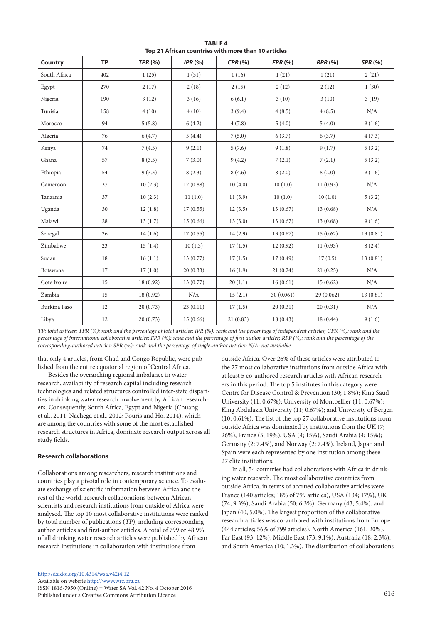| <b>TABLE 4</b><br>Top 21 African countries with more than 10 articles |           |                |            |          |                |                |                |
|-----------------------------------------------------------------------|-----------|----------------|------------|----------|----------------|----------------|----------------|
| Country                                                               | <b>TP</b> | <b>TPR (%)</b> | IPR $(% )$ | CPR(%)   | <b>FPR (%)</b> | <b>RPR (%)</b> | <b>SPR (%)</b> |
| South Africa                                                          | 402       | 1(25)          | 1(31)      | 1(16)    | 1(21)          | 1(21)          | 2(21)          |
| Egypt                                                                 | 270       | 2(17)          | 2(18)      | 2(15)    | 2(12)          | 2(12)          | 1(30)          |
| Nigeria                                                               | 190       | 3(12)          | 3(16)      | 6(6.1)   | 3(10)          | 3(10)          | 3(19)          |
| Tunisia                                                               | 158       | 4(10)          | 4(10)      | 3(9.4)   | 4(8.5)         | 4(8.5)         | N/A            |
| Morocco                                                               | 94        | 5(5.8)         | 6(4.2)     | 4(7.8)   | 5(4.0)         | 5(4.0)         | 9(1.6)         |
| Algeria                                                               | 76        | 6(4.7)         | 5(4.4)     | 7(5.0)   | 6(3.7)         | 6(3.7)         | 4(7.3)         |
| Kenya                                                                 | 74        | 7(4.5)         | 9(2.1)     | 5(7.6)   | 9(1.8)         | 9(1.7)         | 5(3.2)         |
| Ghana                                                                 | 57        | 8(3.5)         | 7(3.0)     | 9(4.2)   | 7(2.1)         | 7(2.1)         | 5(3.2)         |
| Ethiopia                                                              | 54        | 9(3.3)         | 8(2.3)     | 8(4.6)   | 8(2.0)         | 8(2.0)         | 9(1.6)         |
| Cameroon                                                              | 37        | 10(2.3)        | 12(0.88)   | 10(4.0)  | 10(1.0)        | 11(0.93)       | N/A            |
| Tanzania                                                              | 37        | 10(2.3)        | 11(1.0)    | 11(3.9)  | 10(1.0)        | 10(1.0)        | 5(3.2)         |
| Uganda                                                                | 30        | 12(1.8)        | 17(0.55)   | 12(3.5)  | 13(0.67)       | 13(0.68)       | N/A            |
| Malawi                                                                | 28        | 13(1.7)        | 15(0.66)   | 13(3.0)  | 13(0.67)       | 13(0.68)       | 9(1.6)         |
| Senegal                                                               | 26        | 14(1.6)        | 17(0.55)   | 14(2.9)  | 13(0.67)       | 15(0.62)       | 13(0.81)       |
| Zimbabwe                                                              | 23        | 15(1.4)        | 10(1.3)    | 17(1.5)  | 12(0.92)       | 11(0.93)       | 8(2.4)         |
| Sudan                                                                 | 18        | 16(1.1)        | 13(0.77)   | 17(1.5)  | 17(0.49)       | 17(0.5)        | 13(0.81)       |
| Botswana                                                              | 17        | 17(1.0)        | 20(0.33)   | 16(1.9)  | 21(0.24)       | 21(0.25)       | N/A            |
| Cote Ivoire                                                           | 15        | 18 (0.92)      | 13 (0.77)  | 20(1.1)  | 16(0.61)       | 15(0.62)       | N/A            |
| Zambia                                                                | 15        | 18(0.92)       | N/A        | 15(2.1)  | 30(0.061)      | 29(0.062)      | 13(0.81)       |
| Burkina Faso                                                          | 12        | 20(0.73)       | 23(0.11)   | 17(1.5)  | 20(0.31)       | 20(0.31)       | N/A            |
| Libya                                                                 | 12        | 20(0.73)       | 15(0.66)   | 21(0.83) | 18(0.43)       | 18 (0.44)      | 9(1.6)         |

*TP: total articles; TPR (%): rank and the percentage of total articles; IPR (%): rank and the percentage of independent articles; CPR (%): rank and the percentage of international collaborative articles; FPR (%): rank and the percentage of first author articles; RPP (%): rank and the percentage of the corresponding-authored articles; SPR (%): rank and the percentage of single-author articles; N/A: not available.*

that only 4 articles, from Chad and Congo Republic, were published from the entire equatorial region of Central Africa.

Besides the overarching regional imbalance in water research, availability of research capital including research technologies and related structures controlled inter-state disparities in drinking water research involvement by African researchers. Consequently, South Africa, Egypt and Nigeria (Chuang et al., 2011; Nachega et al., 2012; Pouris and Ho, 2014), which are among the countries with some of the most established research structures in Africa, dominate research output across all study fields.

# **Research collaborations**

Collaborations among researchers, research institutions and countries play a pivotal role in contemporary science. To evaluate exchange of scientific information between Africa and the rest of the world, research collaborations between African scientists and research institutions from outside of Africa were analysed. The top 10 most collaborative institutions were ranked by total number of publications (*TP*), including correspondingauthor articles and first-author articles. A total of 799 or 48.9% of all drinking water research articles were published by African research institutions in collaboration with institutions from

outside Africa. Over 26% of these articles were attributed to the 27 most collaborative institutions from outside Africa with at least 5 co-authored research articles with African researchers in this period. The top 5 institutes in this category were Centre for Disease Control & Prevention (30; 1.8%); King Saud University (11; 0.67%); University of Montpellier (11; 0.67%); King Abdulaziz University (11; 0.67%); and University of Bergen (10; 0.61%). The list of the top 27 collaborative institutions from outside Africa was dominated by institutions from the UK (7; 26%), France (5; 19%), USA (4; 15%), Saudi Arabia (4; 15%); Germany (2; 7.4%), and Norway (2; 7.4%). Ireland, Japan and Spain were each represented by one institution among these 27 elite institutions.

In all, 54 countries had collaborations with Africa in drinking water research. The most collaborative countries from outside Africa, in terms of accrued collaborative articles were France (140 articles; 18% of 799 articles), USA (134; 17%), UK (74; 9.3%), Saudi Arabia (50; 6.3%), Germany (43; 5.4%), and Japan (40, 5.0%). The largest proportion of the collaborative research articles was co-authored with institutions from Europe (444 articles; 56% of 799 articles), North America (161; 20%), Far East (93; 12%), Middle East (73; 9.1%), Australia (18; 2.3%), and South America (10; 1.3%). The distribution of collaborations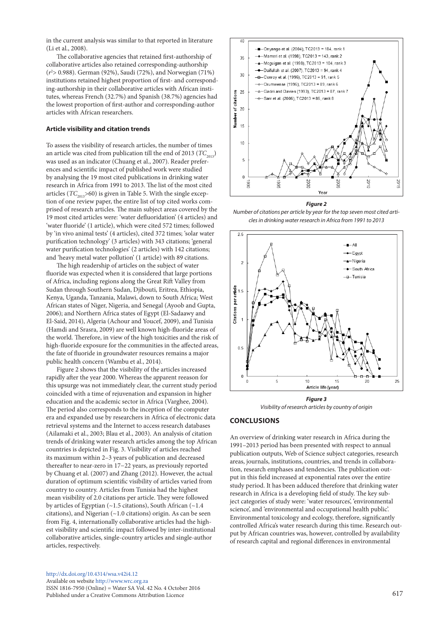in the current analysis was similar to that reported in literature (Li et al., 2008).

The collaborative agencies that retained first-authorship of collaborative articles also retained corresponding-authorship (*r*2 > 0.988). German (92%), Saudi (72%), and Norwegian (71%) institutions retained highest proportion of first- and corresponding-authorship in their collaborative articles with African institutes, whereas French (32.7%) and Spanish (38.7%) agencies had the lowest proportion of first-author and corresponding-author articles with African researchers.

#### **Article visibility and citation trends**

To assess the visibility of research articles, the number of times an article was cited from publication till the end of 2013 ( $TC_{2013}$ ) was used as an indicator (Chuang et al., 2007). Reader preferences and scientific impact of published work were studied by analysing the 19 most cited publications in drinking water research in Africa from 1991 to 2013. The list of the most cited articles ( $TC_{2013}$ >60) is given in Table 5. With the single exception of one review paper, the entire list of top cited works comprised of research articles. The main subject areas covered by the 19 most cited articles were: 'water defluoridation' (4 articles) and 'water fluoride' (1 article), which were cited 572 times; followed by 'in vivo animal tests' (4 articles), cited 372 times; 'solar water purification technology' (3 articles) with 343 citations; 'general water purification technologies' (2 articles) with 142 citations; and 'heavy metal water pollution' (1 article) with 89 citations.

The high readership of articles on the subject of water fluoride was expected when it is considered that large portions of Africa, including regions along the Great Rift Valley from Sudan through Southern Sudan, Djibouti, Eritrea, Ethiopia, Kenya, Uganda, Tanzania, Malawi, down to South Africa; West African states of Niger, Nigeria, and Senegal (Ayoob and Gupta, 2006); and Northern Africa states of Egypt (El-Sadaawy and El-Said, 2014), Algeria (Achour and Youcef, 2009), and Tunisia (Hamdi and Srasra, 2009) are well known high-fluoride areas of the world. Therefore, in view of the high toxicities and the risk of high-fluoride exposure for the communities in the affected areas, the fate of fluoride in groundwater resources remains a major public health concern (Wambu et al., 2014).

Figure 2 shows that the visibility of the articles increased rapidly after the year 2000. Whereas the apparent reeason for this upsurge was not immediately clear, the current study period coincided with a time of rejuvenation and expansion in higher education and the academic sector in Africa (Varghee, 2004). The period also corresponds to the inception of the computer era and expanded use by researchers in Africa of electronic data retrieval systems and the Internet to access research databases (Ailamaki et al., 2003; Blau et al., 2003). An analysis of citation trends of drinking water research articles among the top African countries is depicted in Fig. 3. Visibility of articles reached its maximum within 2–3 years of publication and decreased thereafter to near-zero in 17−22 years, as previously reported by Chuang et al. (2007) and Zhang (2012). However, the actual duration of optimum scientific visibility of articles varied from country to country. Articles from Tunisia had the highest mean visibility of 2.0 citations per article. They were followed by articles of Egyptian (~1.5 citations), South African (~1.4 citations), and Nigerian (~1.0 citations) origin. As can be seen from Fig. 4, internationally collaborative articles had the highest visibility and scientific impact followed by inter-institutional collaborative articles, single-country articles and single-author articles, respectively.



*Figure 2*

*Number of citations per article by year for the top seven most cited articles in drinking water research in Africa from 1991 to 2013*



*Visibility of research articles by country of origin*

# **CONCLUSIONS**

An overview of drinking water research in Africa during the 1991–2013 period has been presented with respect to annual publication outputs, Web of Science subject categories, research areas, journals, institutions, countries, and trends in collaboration, research emphases and tendencies. The publication output in this field increased at exponential rates over the entire study period. It has been adduced therefore that drinking water research in Africa is a developing field of study. The key subject categories of study were: 'water resources', 'environmental science', and 'environmental and occupational health public'. Environmental toxicology and ecology, therefore, significantly controlled Africa's water research during this time. Research output by African countries was, however, controlled by availability of research capital and regional differences in environmental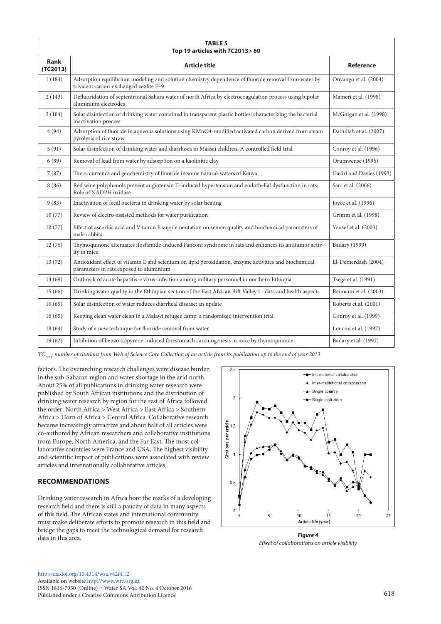| <b>TABLE 5</b><br>Top 19 articles with TC2013>60 |                                                                                                                                                  |                          |  |  |  |  |
|--------------------------------------------------|--------------------------------------------------------------------------------------------------------------------------------------------------|--------------------------|--|--|--|--|
| <b>Rank</b><br>(TC2013)                          | Article title                                                                                                                                    | Reference                |  |  |  |  |
| 1(184)                                           | Adsorption equilibrium modeling and solution chemistry dependence of fluoride removal from water by<br>trivalent-cation-exchanged zeolite F-9    | Onyango et al. (2004)    |  |  |  |  |
| 2(143)                                           | Defluoridation of septentrional Sahara water of north Africa by electrocoagulation process using bipolar<br>aluminium electrodes                 | Mameri et al. (1998)     |  |  |  |  |
| 3(104)                                           | Solar disinfection of drinking water contained in transparent plastic bottles: characterizing the bacterial<br>inactivation process              | McGuigan et al. (1998)   |  |  |  |  |
| 4(94)                                            | Adsorption of fluoride in aqueous solutions using KMnO4-modified activated carbon derived from steam<br>pyrolysis of rice straw                  | Daifullah et al. (2007)  |  |  |  |  |
| 5(91)                                            | Solar disinfection of drinking water and diarrhoea in Maasai children: A controlled field trial                                                  | Conroy et al. (1996)     |  |  |  |  |
| 6(89)                                            | Removal of lead from water by adsorption on a kaolinitic clay                                                                                    | Orumwense (1996)         |  |  |  |  |
| 7(87)                                            | The occurrence and geochemistry of fluoride in some natural-waters of Kenya                                                                      | Gaciri and Davies (1993) |  |  |  |  |
| 8(86)                                            | Red wine polyphenols prevent angiotensin II-induced hypertension and endothelial dysfunction in rats:<br>Role of NADPH oxidase                   | Sarr et al. (2006)       |  |  |  |  |
| 9(83)                                            | Inactivation of fecal bacteria in drinking water by solar heating                                                                                | Joyce et al. (1996)      |  |  |  |  |
| 10(77)                                           | Review of electro-assisted methods for water purification                                                                                        | Grimm et al. (1998)      |  |  |  |  |
| 10(77)                                           | Effect of ascorbic acid and Vitamin E supplementation on semen quality and biochemical parameters of<br>male rabbits                             | Yousef et al. (2003)     |  |  |  |  |
| 12(76)                                           | Thymoquinone attenuates ifosfamide-induced Fanconi syndrome in rats and enhances its antitumor activ-<br>ity in mice                             | Badary (1999)            |  |  |  |  |
| 13(72)                                           | Antioxidant effect of vitamin E and selenium on lipid peroxidation, enzyme activities and biochemical<br>parameters in rats exposed to aluminium | El-Demerdash (2004)      |  |  |  |  |
| 14(69)                                           | Outbreak of acute hepatitis-e virus-infection among military personnel in northern Ethiopia                                                      | Tsega et al. (1991)      |  |  |  |  |
| 15(66)                                           | Drinking water quality in the Ethiopian section of the East African Rift Valley I - data and health aspects                                      | Reimann et al. (2003)    |  |  |  |  |
| 16(65)                                           | Solar disinfection of water reduces diarrheal disease: an update                                                                                 | Roberts et al. (2001)    |  |  |  |  |
| 16(65)                                           | Keeping clean water clean in a Malawi refugee camp: a randomized intervention trial                                                              | Conroy et al. (1999)     |  |  |  |  |
| 18(64)                                           | Study of a new technique for fluoride removal from water                                                                                         | Loucini et al. (1997)    |  |  |  |  |
| 19(62)                                           | Inhibition of benzo (a)pyrene-induced forestomach carcinogenesis in mice by thymoquinone                                                         | Badary et al. (1991)     |  |  |  |  |

*TC<sub>2013</sub>: number of citations from Web of Science Core Collection of an article from its publication up to the end of year 2013* 

factors. The overarching research challenges were disease burden in the sub-Saharan region and water shortage in the arid north. About 25% of all publications in drinking water research were published by South African institutions and the distribution of drinking water research by region for the rest of Africa followed the order: North Africa > West Africa > East Africa > Southern Africa > Horn of Africa > Central Africa. Collaborative research became increasingly attractive and about half of all articles were co-authored by African researchers and collaborative institutions from Europe, North America, and the Far East. The most collaborative countries were France and USA. The highest visibility and scientific impact of publications were associated with review articles and internationally collaborative articles.

# **RECOMMENDATIONS**

Drinking water research in Africa bore the marks of a developing research field and there is still a paucity of data in many aspects of this field. The African states and international community must make deliberate efforts to promote research in this field and bridge the gaps to meet the technological demand for research data in this area.



*Figure 4 Effect of collaborations on article visibility*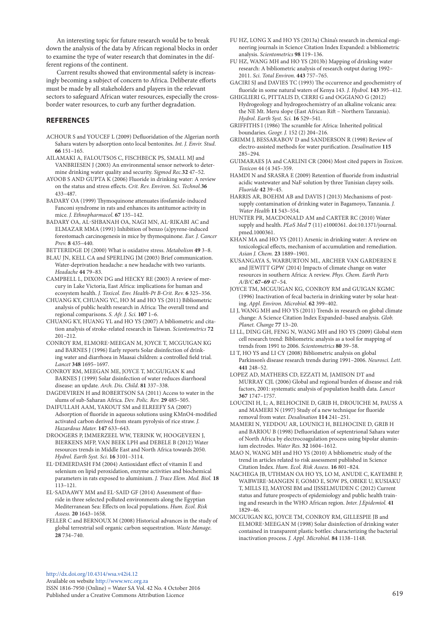An interesting topic for future research would be to break down the analysis of the data by African regional blocks in order to examine the type of water research that dominates in the different regions of the continent.

Current results showed that environmental safety is increasingly becoming a subject of concern to Africa. Deliberate efforts must be made by all stakeholders and players in the relevant sectors to safeguard African water resources, especially the crossborder water resources, to curb any further degradation.

# **REFERENCES**

- ACHOUR S and YOUCEF L (2009) Defluoridation of the Algerian north Sahara waters by adsorption onto local bentonites. *Int. J. Envir. Stud*. **66** 151–165.
- AILAMAKI A, FALOUTSOS C, FISCHBECK PS, SMALL MJ and VANBRIESEN J (2003) An environmental sensor network to determine drinking water quality and security. *Sigmod Rec.***32** 47–52.
- AYOOB S AND GUPTA K (2006) Fluoride in drinking water: A review on the status and stress effects. *Crit. Rev. Environ. Sci. Technol.***36** 433–487.
- BADARY OA (1999) Thymoquinone attenuates ifosfamide-induced Fanconi syndrome in rats and enhances its antitumor activity in mice. *J. Ethnopharmacol*. **67** 135–142.
- BADARY OA, AL-SHBANAH OA, NAGI MN, AL-RIKABI AC and ELMAZAR MMA (1991) Inhibition of benzo (a)pyrene-induced forestomach carcinogenesis in mice by thymoquinone. *Eur. J. Cancer Prev.* **8** 435–440.
- BETTERIDGE DJ (2000) What is oxidative stress. *Metabolism* **49** 3–8.
- BLAU JN, KELL CA and SPERLING JM (2003) Brief communication. Water-deprivation headache: a new headache with two variants. *Headache* **44** 79–83.
- CAMPBELL L, DIXON DG and HECKY RE (2003) A review of mercury in Lake Victoria, East Africa: implications for human and ecosystem health. *J. Toxicol. Env. Health-Pt B-Crit. Rev.* **6** 325–356.
- CHUANG KY, CHUANG YC, HO M and HO YS (2011) Bibliometric analysis of public health research in Africa: The overall trend and regional comparisons. *S. Afr. J. Sci.* **107** 1–6.
- CHUANG KY, HUANG YL and HO YS (2007) A bibliometric and citation analysis of stroke-related research in Taiwan. *Scientometrics* **72** 201–212.
- CONROY RM, ELMORE-MEEGAN M, JOYCE T, MCGUIGAN KG and BARNES J (1996) Early reports Solar disinfection of drinking water and diarrhoea in Maasai children: a controlled field trial*. Lancet* **348** 1695–1697.
- CONROY RM, MEEGAN ME, JOYCE T, MCGUIGAN K and BARNES J (1999) Solar disinfection of water reduces diarrhoeal disease: an update. *Arch. Dis. Child*. **81** 337–338.
- DAGDEVIREN H and ROBERTSON SA (2011) Access to water in the slums of sub-Saharan Africa. *Dev. Polic. Rev.* **29** 485–505.
- DAIFULLAH AAM, YAKOUT SM and ELREEFY SA (2007) Adsorption of fluoride in aqueous solutions using KMnO4-modified activated carbon derived from steam pyrolysis of rice straw. *J. Hazardous Mater.* **147** 633–643.
- DROOGERS P, IMMERZEEL WW, TERINK W, HOOGEVEEN J, BIERKENS MFP, VAN BEEK LPH and DEBELE B (2012) Water resources trends in Middle East and North Africa towards 2050. *Hydrol. Earth Syst. Sci*. **16** 3101–3114.
- EL-DEMERDASH FM (2004) Antioxidant effect of vitamin E and selenium on lipid peroxidation, enzyme activities and biochemical parameters in rats exposed to aluminium. *J. Trace Elem. Med. Biol.* **18** 113–121.
- EL-SADAAWY MM and EL-SAID GF (2014) Assessment of fluoride in three selected polluted environments along the Egyptian Mediterranean Sea: Effects on local populations. *Hum. Ecol. Risk Assess.* **20** 1643–1658.
- FELLER C and BERNOUX M (2008) Historical advances in the study of global terrestrial soil organic carbon sequestration. *Waste Manage.*  **28** 734–740.
- FU HZ, LONG X and HO YS (2013a) China's research in chemical engineering journals in Science Citation Index Expanded: a bibliometric analysis. *Scientometrics* **98** 119–136.
- FU HZ, WANG MH and HO YS (2013b) Mapping of drinking water research: A bibliometric analysis of research output during 1992– 2011. *Sci. Total Environ*. **443** 757–765.
- GACIRI SJ and DAVIES TC (1993) The occurrence and geochemistry of fluoride in some natural waters of Kenya 143*. J. Hydrol.* **143** 395–412.
- GHIGLIERI G, PITTALIS D, CERRI G and OGGIANO G (2012) Hydrogeology and hydrogeochemistry of an alkaline volcanic area: the NE Mt. Meru slope (East African Rift – Northern Tanzania). *Hydrol. Earth Syst. Sci.* **16** 529–541.
- GRIFFITHS I (1986) The scramble for Africa: Inherited political boundaries. *Geogr. J.* 152 (2) 204–216.
- GRIMM J, BESSARABOV D and SANDERSON R (1998) Review of electro-assisted methods for water purification. *Desalination* **115** 285–294.
- GUIMARAES JA and CARLINI CR (2004) Most cited papers in *Toxicon*. *Toxicon* 44 (4 345–359.
- HAMDI N and SRASRA E (2009) Retention of fluoride from industrial acidic wastewater and NaF solution by three Tunisian clayey soils. *Fluoride* **42** 39–45.
- HARRIS AR, BOEHM AB and DAVIS J (2013) Mechanisms of postsupply contamination of drinking water in Bagamoyo, Tanzania. *J. Water Health* **11** 543–554.
- HUNTER PR, MACDONALD AM and CARTER RC (2010) Water supply and health. *PLoS Med* **7** (11) e1000361. doi:10.1371/journal. pmed.1000361.
- KHAN MA and HO YS (2011) Arsenic in drinking water: A review on toxicological effects, mechanism of accumulation and remediation. *Asian J. Chem.* **23** 1889–1901.
- KUSANGAYA S, WARBURTON ML, ARCHER VAN GARDEREN E and JEWITT GPW (2014) Impacts of climate change on water resources in southern Africa: A review. *Phys. Chem. Earth Parts A/B/C* **67–69** 47–54.
- JOYCE TM, MCGUIGAN KG, CONROY RM and GUIGAN KGMC (1996) Inactivation of fecal bacteria in drinking water by solar heating. *Appl. Environ. Microbiol*. **62** 399–402.
- LI J, WANG MH and HO YS (2011) Trends in research on global climate change: A Science Citation Index Expanded–based analysis. *Glob. Planet. Change* **77** 13–20.
- LI LL, DING GH, FENG N, WANG MH and HO YS (2009) Global stem cell research trend: Bibliometric analysis as a tool for mapping of trends from 1991 to 2006. *Scientometrics* **80** 39–58.
- LI T, HO YS and LI CY (2008) Bibliometric analysis on global Parkinson's disease research trends during 1991–2006. *Neurosci. Lett*. **441** 248–52.
- LOPEZ AD, MATHERS CD, EZZATI M, JAMISON DT and MURRAY CJL (2006) Global and regional burden of disease and risk factors, 2001: systematic analysis of population health data. *Lancet*  **367** 1747–1757.
- LOUCINI H, L; A, BELHOCINE D, GRIB H, DROUICHE M, PAUSS A and MAMERI N (1997) Study of a new technique for fluoride removal from water. *Desalination* **114** 241–251.
- MAMERI N, YEDDOU AR, LOUNICI H, BELHOCINE D, GRIB H and BARIOU B (1998) Defluoridation of septentrional Sahara water of North Africa by electrocoagulation process using bipolar aluminium electrodes. *Water Res.* **32** 1604–1612.
- MAO N, WANG MH and HO YS (2010) A bibliometric study of the trend in articles related to risk assessment published in Science Citation Index. *Hum. Ecol. Risk Assess*. **16** 801–824.
- NACHEGA JB, UTHMAN OA HO YS, LO M, ANUDE C, KAYEMBE P, WABWIRE-MANGEN F, GOMO E, SOW PS, OBIKE U, KUSIAKU T, MILLS EJ, MAYOSI BM and IJSSELMUIDEN C (2012) Current status and future prospects of epidemiology and public health training and research in the WHO African region. *Inter. J.Epidemiol.* **41** 1829–46.
- MCGUIGAN KG, JOYCE TM, CONROY RM, GILLESPIE JB and ELMORE-MEEGAN M (1998) Solar disinfection of drinking water contained in transparent plastic bottles: characterizing the bacterial inactivation process. *J. Appl. Microbiol*. **84** 1138–1148.

Available on website http://www.wrc.org.za ISSN 1816-7950 (Online) = Water SA Vol. 42 No. 4 October 2016 Published under a Creative Commons Attribution Licence 619